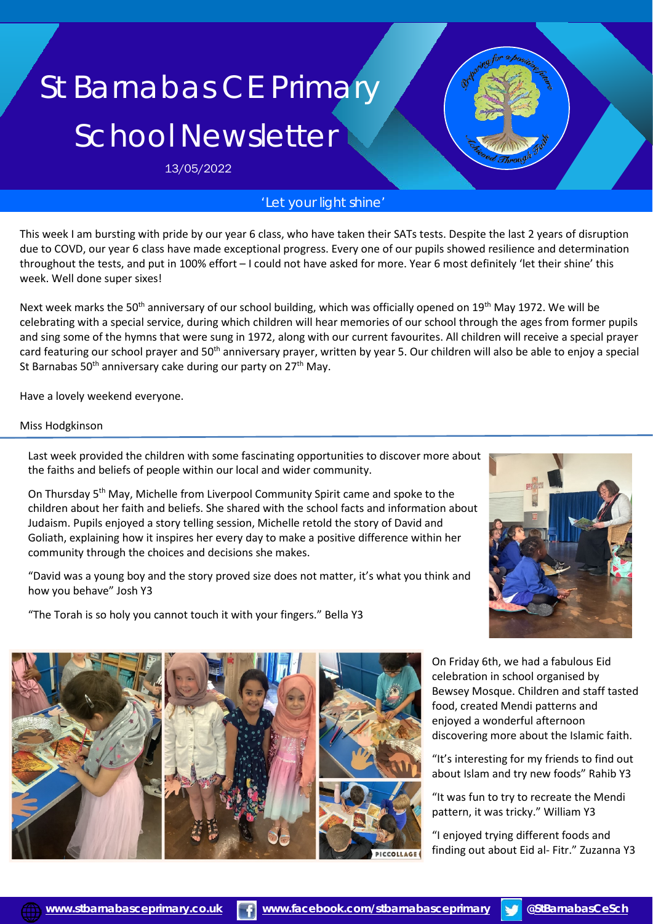# St Barnabas CE Primary School Newsletter

13/05/2022

# *'Let your light shine'*

This week I am bursting with pride by our year 6 class, who have taken their SATs tests. Despite the last 2 years of disruption due to COVD, our year 6 class have made exceptional progress. Every one of our pupils showed resilience and determination throughout the tests, and put in 100% effort – I could not have asked for more. Year 6 most definitely 'let their shine' this week. Well done super sixes!

Next week marks the 50<sup>th</sup> anniversary of our school building, which was officially opened on 19<sup>th</sup> May 1972. We will be celebrating with a special service, during which children will hear memories of our school through the ages from former pupils and sing some of the hymns that were sung in 1972, along with our current favourites. All children will receive a special prayer card featuring our school prayer and 50<sup>th</sup> anniversary prayer, written by year 5. Our children will also be able to enjoy a special St Barnabas 50<sup>th</sup> anniversary cake during our party on 27<sup>th</sup> May.

Have a lovely weekend everyone.

#### Miss Hodgkinson

Last week provided the children with some fascinating opportunities to discover more about the faiths and beliefs of people within our local and wider community.

On Thursday 5<sup>th</sup> May, Michelle from Liverpool Community Spirit came and spoke to the children about her faith and beliefs. She shared with the school facts and information about Judaism. Pupils enjoyed a story telling session, Michelle retold the story of David and Goliath, explaining how it inspires her every day to make a positive difference within her community through the choices and decisions she makes.

"David was a young boy and the story proved size does not matter, it's what you think and how you behave" Josh Y3

"The Torah is so holy you cannot touch it with your fingers." Bella Y3







enjoyed a wonderful afternoon discovering more about the Islamic faith.

"It's interesting for my friends to find out about Islam and try new foods" Rahib Y3

"It was fun to try to recreate the Mendi pattern, it was tricky." William Y3

"I enjoyed trying different foods and finding out about Eid al- Fitr." Zuzanna Y3

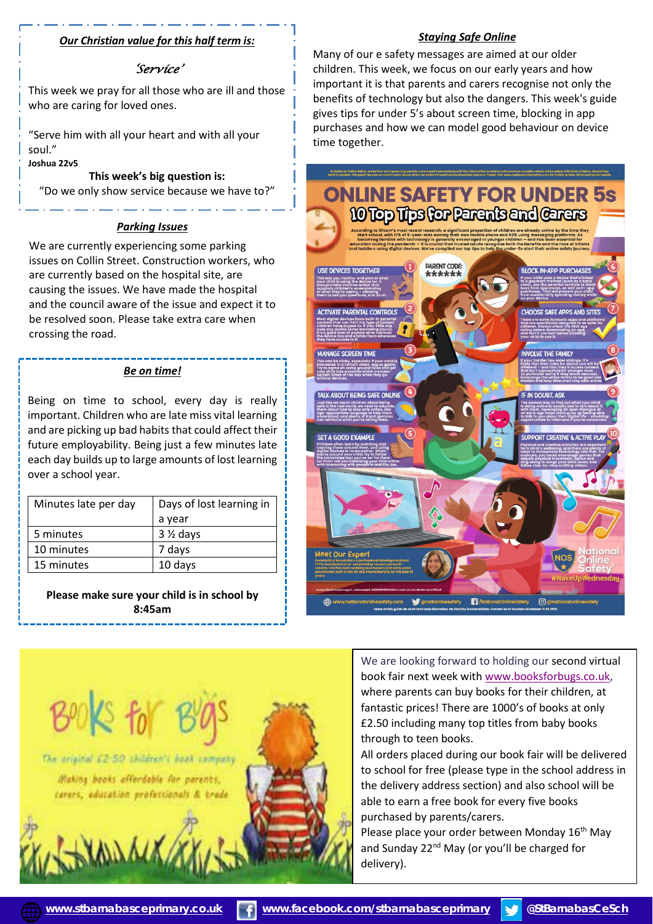## *Our Christian value for this half term is:*

## *'Service'*

 This week we pray for all those who are ill and those who are caring for loved ones.

"Serve him with all your heart and with all your soul."

## **Joshua 22v5**

# **This week's big question is:**

"Do we only show service because we have to?"

#### *Parking Issues*

We are currently experiencing some parking issues on Collin Street. Construction workers, who are currently based on the hospital site, are causing the issues. We have made the hospital and the council aware of the issue and expect it to be resolved soon. Please take extra care when crossing the road.

#### *Be on time!*

 each day builds up to large amounts of lost learning Being on time to school, every day is really important. Children who are late miss vital learning and are picking up bad habits that could affect their future employability. Being just a few minutes late over a school year.

| Minutes late per day | Days of lost learning in<br>a year |
|----------------------|------------------------------------|
| 5 minutes            | $3\frac{1}{2}$ days                |
| 10 minutes           | 7 days                             |
| 15 minutes           | 10 days                            |

**Please make sure your child is in school by 8:45am** 

Many of our e safety messages are aimed at our older children. This week, we focus on our early years and how important it is that parents and carers recognise not only the benefits of technology but also the dangers. This week's guide

*Staying Safe Online*

gives tips for under 5's about screen time, blocking in app



We are looking forward to holding our second virtual book fair next week with [www.booksforbugs.co.uk,](http://www.booksforbugs.co.uk/) where parents can buy books for their children, at fantastic prices! There are 1000's of books at only £2.50 including many top titles from baby books through to teen books.

All orders placed during our book fair will be delivered to school for free (please type in the school address in the delivery address section) and also school will be able to earn a free book for every five books purchased by parents/carers.

Please place your order between Monday 16<sup>th</sup> May and Sunday 22<sup>nd</sup> May (or you'll be charged for delivery).



ľ